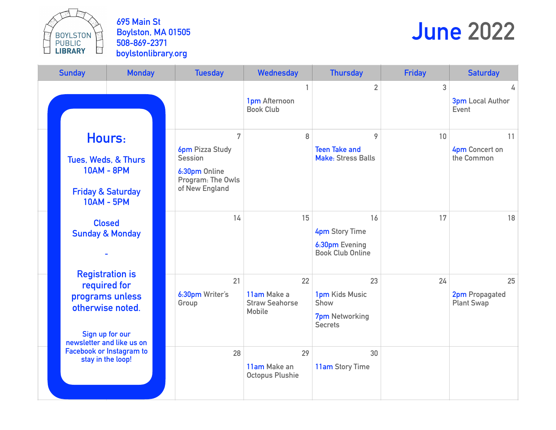BOYLSTON<br>PUBLIC<br>LIBRARY

**695 Main St Boylston, MA 01505 508-869-2371 boylstonlibrary.org**

# **June 2022**

| <b>Sunday</b> |                                                                                                            | <b>Monday</b>   |  | <b>Tuesday</b>                                                                                        | <b>Wednesday</b>                                            | <b>Thursday</b>                                                          | <b>Friday</b> | <b>Saturday</b>                           |
|---------------|------------------------------------------------------------------------------------------------------------|-----------------|--|-------------------------------------------------------------------------------------------------------|-------------------------------------------------------------|--------------------------------------------------------------------------|---------------|-------------------------------------------|
|               |                                                                                                            |                 |  |                                                                                                       | 1<br>1pm Afternoon<br><b>Book Club</b>                      | $\overline{2}$                                                           | 3             | 4<br><b>3pm Local Author</b><br>Event     |
|               | Hours:<br>Tues, Weds, & Thurs<br><b>10AM - 8PM</b><br><b>Friday &amp; Saturday</b><br><b>10AM - 5PM</b>    |                 |  | 7<br><b>6pm</b> Pizza Study<br><b>Session</b><br>6:30pm Online<br>Program: The Owls<br>of New England | 8                                                           | 9<br><b>Teen Take and</b><br><b>Make: Stress Balls</b>                   | 10            | 11<br>4pm Concert on<br>the Common        |
|               | <b>Closed</b><br><b>Sunday &amp; Monday</b>                                                                |                 |  | 14                                                                                                    | 15                                                          | 16<br><b>4pm Story Time</b><br>6:30pm Evening<br><b>Book Club Online</b> | 17            | 18                                        |
|               | <b>Registration is</b><br>required for<br>otherwise noted.<br>Sign up for our<br>newsletter and like us on | programs unless |  | 21<br>6:30pm Writer's<br>Group                                                                        | 22<br>11am Make a<br><b>Straw Seahorse</b><br><b>Mobile</b> | 23<br>1pm Kids Music<br>Show<br><b>7pm</b> Networking<br><b>Secrets</b>  | 24            | 25<br>2pm Propagated<br><b>Plant Swap</b> |
|               | Facebook or Instagram to<br>stay in the loop!                                                              |                 |  | 28                                                                                                    | 29<br>11am Make an<br><b>Octopus Plushie</b>                | 30<br>11am Story Time                                                    |               |                                           |